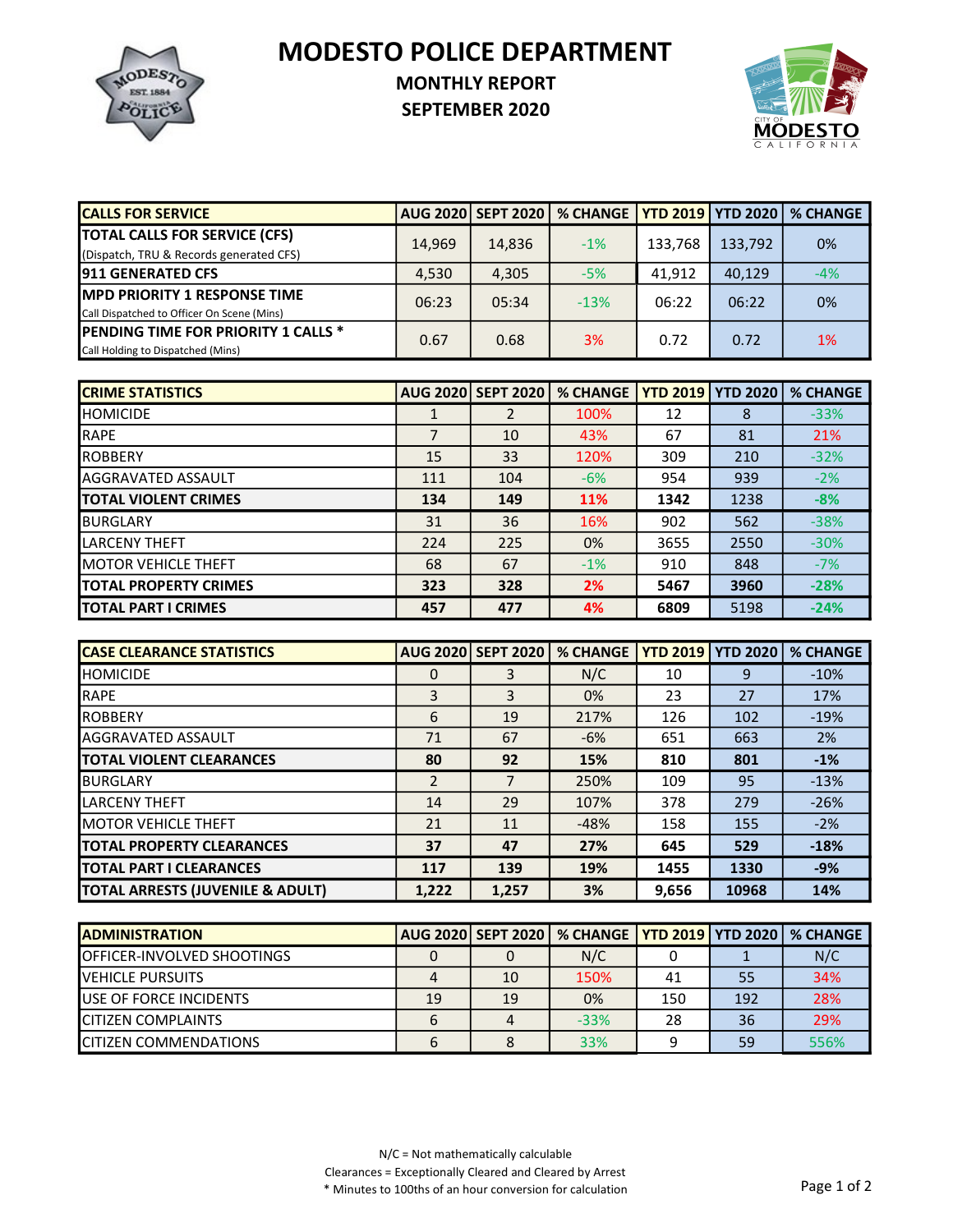

## MODESTO POLICE DEPARTMENT

## MONTHLY REPORT

SEPTEMBER 2020



| <b>CALLS FOR SERVICE</b>                   |        | <b>AUG 2020 SEPT 2020  </b> | % CHANGE YTD 2019 YTD 2020 |         |         | <b>% CHANGE</b> |
|--------------------------------------------|--------|-----------------------------|----------------------------|---------|---------|-----------------|
| <b>TOTAL CALLS FOR SERVICE (CFS)</b>       | 14,969 | 14,836                      | $-1%$                      | 133,768 | 133,792 | 0%              |
| (Dispatch, TRU & Records generated CFS)    |        |                             |                            |         |         |                 |
| <b>1911 GENERATED CFS</b>                  | 4,530  | 4,305                       | $-5%$                      | 41.912  | 40,129  | $-4%$           |
| <b>IMPD PRIORITY 1 RESPONSE TIME</b>       | 06:23  | 05:34                       | $-13%$                     | 06:22   | 06:22   | 0%              |
| Call Dispatched to Officer On Scene (Mins) |        |                             |                            |         |         |                 |
| <b>PENDING TIME FOR PRIORITY 1 CALLS *</b> | 0.67   | 0.68                        | 3%                         | 0.72    | 0.72    | 1%              |
| Call Holding to Dispatched (Mins)          |        |                             |                            |         |         |                 |

| <b>CRIME STATISTICS</b>      |     | <b>AUG 2020 SEPT 2020</b> | <b>% CHANGE</b> | <b>YTD 2019</b> | <b>YTD 2020</b> | <b>% CHANGE</b> |
|------------------------------|-----|---------------------------|-----------------|-----------------|-----------------|-----------------|
| <b>I</b> HOMICIDE            |     | 2                         | 100%            | 12              | 8               | $-33%$          |
| RAPE                         |     | 10                        | 43%             | 67              | 81              | 21%             |
| <b>IROBBERY</b>              | 15  | 33                        | 120%            | 309             | 210             | $-32%$          |
| <b>I</b> AGGRAVATED ASSAULT  | 111 | 104                       | $-6%$           | 954             | 939             | $-2%$           |
| <b>ITOTAL VIOLENT CRIMES</b> | 134 | 149                       | <b>11%</b>      | 1342            | 1238            | $-8%$           |
| <b>BURGLARY</b>              | 31  | 36                        | 16%             | 902             | 562             | $-38%$          |
| ILARCENY THEFT               | 224 | 225                       | 0%              | 3655            | 2550            | $-30%$          |
| <b>IMOTOR VEHICLE THEFT</b>  | 68  | 67                        | $-1%$           | 910             | 848             | $-7%$           |
| <b>TOTAL PROPERTY CRIMES</b> | 323 | 328                       | 2%              | 5467            | 3960            | $-28%$          |
| <b>ITOTAL PART I CRIMES</b>  | 457 | 477                       | 4%              | 6809            | 5198            | $-24%$          |

| <b>ICASE CLEARANCE STATISTICS</b> |                | <b>AUG 2020 SEPT 2020</b> | <b>% CHANGE</b> | <b>YTD 2019   YTD 2020</b> |       | <b>% CHANGE</b> |
|-----------------------------------|----------------|---------------------------|-----------------|----------------------------|-------|-----------------|
| <b>HOMICIDE</b>                   | 0              | 3                         | N/C             | 10                         | 9     | $-10%$          |
| <b>IRAPE</b>                      | 3              | 3                         | 0%              | 23                         | 27    | 17%             |
| <b>IROBBERY</b>                   | 6              | 19                        | 217%            | 126                        | 102   | $-19%$          |
| <b>AGGRAVATED ASSAULT</b>         | 71             | 67                        | $-6%$           | 651                        | 663   | <b>2%</b>       |
| <b>TOTAL VIOLENT CLEARANCES</b>   | 80             | 92                        | 15%             | 810                        | 801   | $-1%$           |
| <b>I</b> BURGLARY                 | $\mathfrak{p}$ |                           | 250%            | 109                        | 95    | $-13%$          |
| <b>LARCENY THEFT</b>              | 14             | 29                        | 107%            | 378                        | 279   | $-26%$          |
| <b>IMOTOR VEHICLE THEFT</b>       | 21             | 11                        | $-48%$          | 158                        | 155   | $-2%$           |
| <b>ITOTAL PROPERTY CLEARANCES</b> | 37             | 47                        | 27%             | 645                        | 529   | $-18%$          |
| <b>ITOTAL PART I CLEARANCES</b>   | 117            | 139                       | 19%             | 1455                       | 1330  | $-9%$           |
| TOTAL ARRESTS (JUVENILE & ADULT)  | 1,222          | 1,257                     | 3%              | 9,656                      | 10968 | 14%             |

| <b>IADMINISTRATION</b>             |    |    | AUG 2020 SEPT 2020   % CHANGE   YTD 2019   YTD 2020   % CHANGE |     |     |      |
|------------------------------------|----|----|----------------------------------------------------------------|-----|-----|------|
| <b>IOFFICER-INVOLVED SHOOTINGS</b> |    |    | N/C                                                            |     |     | N/C  |
| <b>IVEHICLE PURSUITS</b>           |    | 10 | 150%                                                           | 41  | 55  | 34%  |
| <b>I</b> USE OF FORCE INCIDENTS    | 19 | 19 | 0%                                                             | 150 | 192 | 28%  |
| <b>ICITIZEN COMPLAINTS</b>         | 6  |    | $-33%$                                                         | 28  | 36  | 29%  |
| <b>ICITIZEN COMMENDATIONS</b>      | 6  |    | 33%                                                            |     | 59  | 556% |